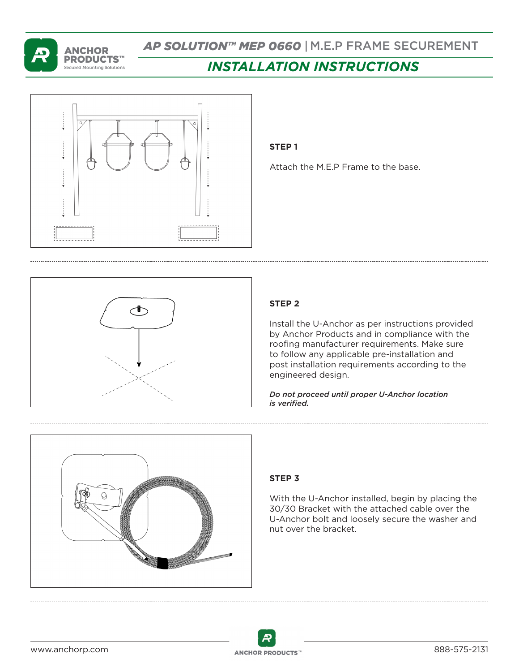

# *AP SOLUTION™ MEP 0660* | M.E.P FRAME SECUREMENT

# *INSTALLATION INSTRUCTIONS*



#### **STEP 1**

Attach the M.E.P Frame to the base.



# **STEP 2**

Install the U-Anchor as per instructions provided by Anchor Products and in compliance with the roofing manufacturer requirements. Make sure to follow any applicable pre-installation and post installation requirements according to the engineered design.

*Do not proceed until proper U-Anchor location is verified.*



## **STEP 3**

With the U-Anchor installed, begin by placing the 30/30 Bracket with the attached cable over the U-Anchor bolt and loosely secure the washer and nut over the bracket.